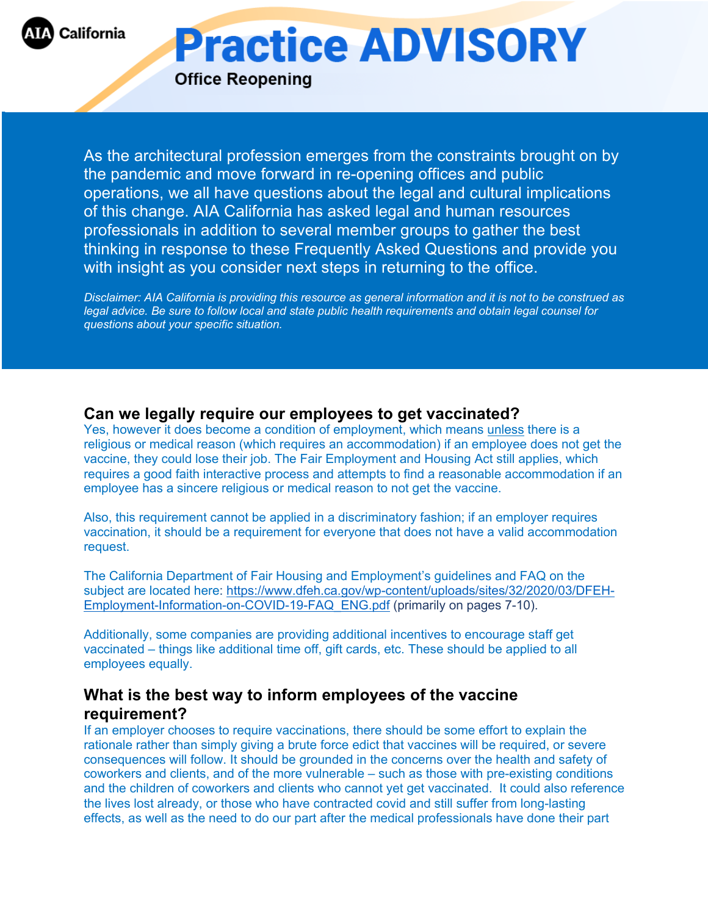

**Practice ADVISORY** 

**Office Reopening** 

As the architectural profession emerges from the constraints brought on by the pandemic and move forward in re-opening offices and public operations, we all have questions about the legal and cultural implications of this change. AIA California has asked legal and human resources professionals in addition to several member groups to gather the best thinking in response to these Frequently Asked Questions and provide you with insight as you consider next steps in returning to the office.

*Disclaimer: AIA California is providing this resource as general information and it is not to be construed as legal advice. Be sure to follow local and state public health requirements and obtain legal counsel for questions about your specific situation.*

## **Can we legally require our employees to get vaccinated?**

Yes, however it does become a condition of employment, which means unless there is a religious or medical reason (which requires an accommodation) if an employee does not get the vaccine, they could lose their job. The Fair Employment and Housing Act still applies, which requires a good faith interactive process and attempts to find a reasonable accommodation if an employee has a sincere religious or medical reason to not get the vaccine.

Also, this requirement cannot be applied in a discriminatory fashion; if an employer requires vaccination, it should be a requirement for everyone that does not have a valid accommodation request.

The California Department of Fair Housing and Employment's guidelines and FAQ on the subject are located here: https://www.dfeh.ca.gov/wp-content/uploads/sites/32/2020/03/DFEH-Employment-Information-on-COVID-19-FAQ\_ENG.pdf (primarily on pages 7-10).

Additionally, some companies are providing additional incentives to encourage staff get vaccinated – things like additional time off, gift cards, etc. These should be applied to all employees equally.

# **What is the best way to inform employees of the vaccine requirement?**

If an employer chooses to require vaccinations, there should be some effort to explain the rationale rather than simply giving a brute force edict that vaccines will be required, or severe consequences will follow. It should be grounded in the concerns over the health and safety of coworkers and clients, and of the more vulnerable – such as those with pre-existing conditions and the children of coworkers and clients who cannot yet get vaccinated. It could also reference the lives lost already, or those who have contracted covid and still suffer from long-lasting effects, as well as the need to do our part after the medical professionals have done their part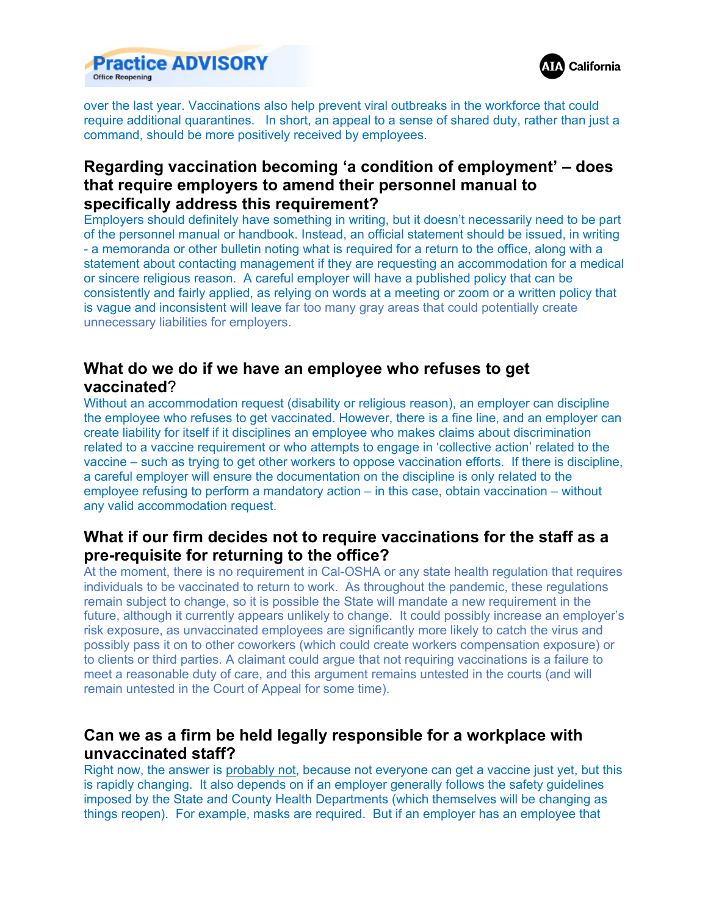



over the last year. Vaccinations also help prevent viral outbreaks in the workforce that could require additional quarantines. In short, an appeal to a sense of shared duty, rather than just a command, should be more positively received by employees.

# **Regarding vaccination becoming 'a condition of employment' – does that require employers to amend their personnel manual to specifically address this requirement?**

Employers should definitely have something in writing, but it doesn't necessarily need to be part of the personnel manual or handbook. Instead, an official statement should be issued, in writing - a memoranda or other bulletin noting what is required for a return to the office, along with a statement about contacting management if they are requesting an accommodation for a medical or sincere religious reason. A careful employer will have a published policy that can be consistently and fairly applied, as relying on words at a meeting or zoom or a written policy that is vague and inconsistent will leave far too many gray areas that could potentially create unnecessary liabilities for employers.

## **What do we do if we have an employee who refuses to get vaccinated**?

Without an accommodation request (disability or religious reason), an employer can discipline the employee who refuses to get vaccinated. However, there is a fine line, and an employer can create liability for itself if it disciplines an employee who makes claims about discrimination related to a vaccine requirement or who attempts to engage in 'collective action' related to the vaccine – such as trying to get other workers to oppose vaccination efforts. If there is discipline, a careful employer will ensure the documentation on the discipline is only related to the employee refusing to perform a mandatory action – in this case, obtain vaccination – without any valid accommodation request.

# **What if our firm decides not to require vaccinations for the staff as a pre-requisite for returning to the office?**

At the moment, there is no requirement in Cal-OSHA or any state health regulation that requires individuals to be vaccinated to return to work. As throughout the pandemic, these regulations remain subject to change, so it is possible the State will mandate a new requirement in the future, although it currently appears unlikely to change. It could possibly increase an employer's risk exposure, as unvaccinated employees are significantly more likely to catch the virus and possibly pass it on to other coworkers (which could create workers compensation exposure) or to clients or third parties. A claimant could argue that not requiring vaccinations is a failure to meet a reasonable duty of care, and this argument remains untested in the courts (and will remain untested in the Court of Appeal for some time).

## **Can we as a firm be held legally responsible for a workplace with unvaccinated staff?**

Right now, the answer is probably not, because not everyone can get a vaccine just yet, but this is rapidly changing. It also depends on if an employer generally follows the safety guidelines imposed by the State and County Health Departments (which themselves will be changing as things reopen). For example, masks are required. But if an employer has an employee that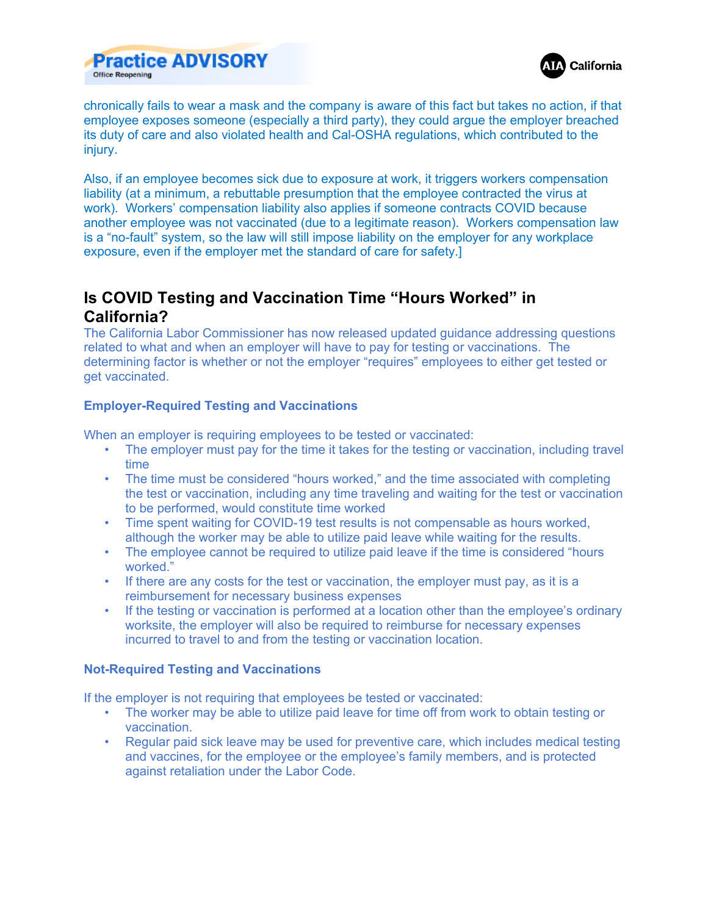



chronically fails to wear a mask and the company is aware of this fact but takes no action, if that employee exposes someone (especially a third party), they could argue the employer breached its duty of care and also violated health and Cal-OSHA regulations, which contributed to the injury.

Also, if an employee becomes sick due to exposure at work, it triggers workers compensation liability (at a minimum, a rebuttable presumption that the employee contracted the virus at work). Workers' compensation liability also applies if someone contracts COVID because another employee was not vaccinated (due to a legitimate reason). Workers compensation law is a "no-fault" system, so the law will still impose liability on the employer for any workplace exposure, even if the employer met the standard of care for safety.]

# **Is COVID Testing and Vaccination Time "Hours Worked" in California?**

The California Labor Commissioner has now released updated guidance addressing questions related to what and when an employer will have to pay for testing or vaccinations. The determining factor is whether or not the employer "requires" employees to either get tested or get vaccinated.

## **Employer-Required Testing and Vaccinations**

When an employer is requiring employees to be tested or vaccinated:

- The employer must pay for the time it takes for the testing or vaccination, including travel time
- The time must be considered "hours worked," and the time associated with completing the test or vaccination, including any time traveling and waiting for the test or vaccination to be performed, would constitute time worked
- Time spent waiting for COVID-19 test results is not compensable as hours worked, although the worker may be able to utilize paid leave while waiting for the results.
- The employee cannot be required to utilize paid leave if the time is considered "hours worked."
- If there are any costs for the test or vaccination, the employer must pay, as it is a reimbursement for necessary business expenses
- If the testing or vaccination is performed at a location other than the employee's ordinary worksite, the employer will also be required to reimburse for necessary expenses incurred to travel to and from the testing or vaccination location.

#### **Not-Required Testing and Vaccinations**

If the employer is not requiring that employees be tested or vaccinated:

- The worker may be able to utilize paid leave for time off from work to obtain testing or vaccination.
- Regular paid sick leave may be used for preventive care, which includes medical testing and vaccines, for the employee or the employee's family members, and is protected against retaliation under the Labor Code.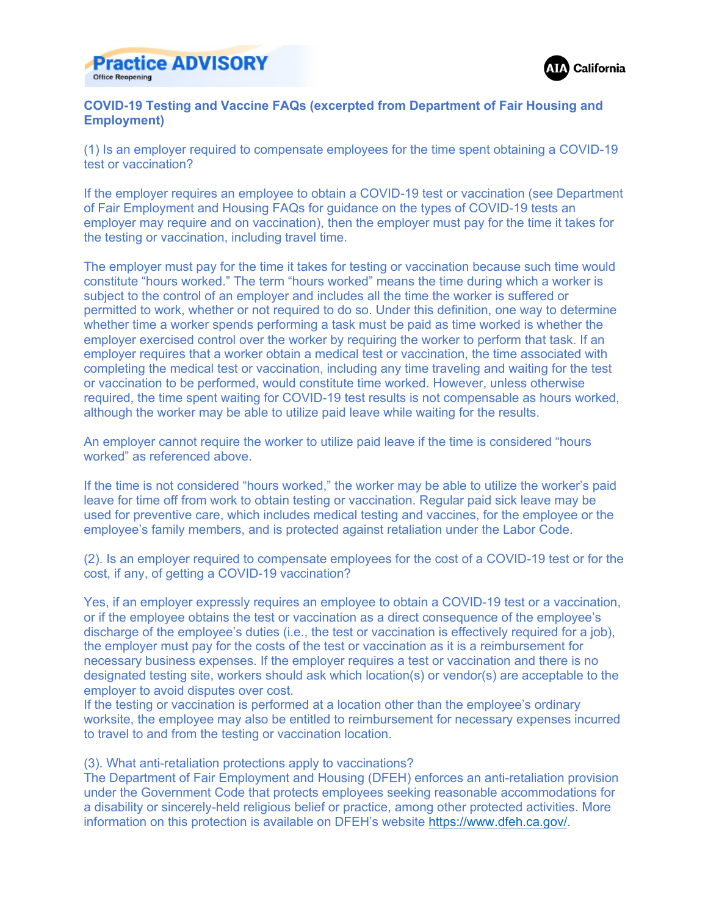



### **COVID-19 Testing and Vaccine FAQs (excerpted from Department of Fair Housing and Employment)**

(1) Is an employer required to compensate employees for the time spent obtaining a COVID-19 test or vaccination?

If the employer requires an employee to obtain a COVID-19 test or vaccination (see Department of Fair Employment and Housing FAQs for guidance on the types of COVID-19 tests an employer may require and on vaccination), then the employer must pay for the time it takes for the testing or vaccination, including travel time.

The employer must pay for the time it takes for testing or vaccination because such time would constitute "hours worked." The term "hours worked" means the time during which a worker is subject to the control of an employer and includes all the time the worker is suffered or permitted to work, whether or not required to do so. Under this definition, one way to determine whether time a worker spends performing a task must be paid as time worked is whether the employer exercised control over the worker by requiring the worker to perform that task. If an employer requires that a worker obtain a medical test or vaccination, the time associated with completing the medical test or vaccination, including any time traveling and waiting for the test or vaccination to be performed, would constitute time worked. However, unless otherwise required, the time spent waiting for COVID-19 test results is not compensable as hours worked, although the worker may be able to utilize paid leave while waiting for the results.

An employer cannot require the worker to utilize paid leave if the time is considered "hours worked" as referenced above.

If the time is not considered "hours worked," the worker may be able to utilize the worker's paid leave for time off from work to obtain testing or vaccination. Regular paid sick leave may be used for preventive care, which includes medical testing and vaccines, for the employee or the employee's family members, and is protected against retaliation under the Labor Code.

(2). Is an employer required to compensate employees for the cost of a COVID-19 test or for the cost, if any, of getting a COVID-19 vaccination?

Yes, if an employer expressly requires an employee to obtain a COVID-19 test or a vaccination, or if the employee obtains the test or vaccination as a direct consequence of the employee's discharge of the employee's duties (i.e., the test or vaccination is effectively required for a job), the employer must pay for the costs of the test or vaccination as it is a reimbursement for necessary business expenses. If the employer requires a test or vaccination and there is no designated testing site, workers should ask which location(s) or vendor(s) are acceptable to the employer to avoid disputes over cost.

If the testing or vaccination is performed at a location other than the employee's ordinary worksite, the employee may also be entitled to reimbursement for necessary expenses incurred to travel to and from the testing or vaccination location.

#### (3). What anti-retaliation protections apply to vaccinations?

The Department of Fair Employment and Housing (DFEH) enforces an anti-retaliation provision under the Government Code that protects employees seeking reasonable accommodations for a disability or sincerely-held religious belief or practice, among other protected activities. More information on this protection is available on DFEH's website https://www.dfeh.ca.gov/.